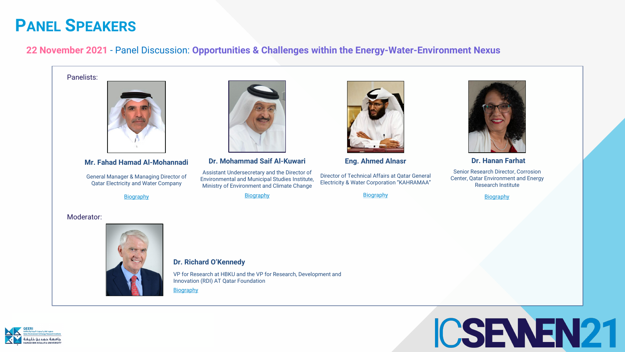





#### **22 November 2021** - Panel Discussion: **Opportunities & Challenges within the Energy-Water-Environment Nexus**

**Dr. Hanan Farhat**

Senior Research Director, Corrosion Center, Qatar Environment and Energy Research Institute

**[Biography](https://www.linkedin.com/in/hanan-farhat-peng-ph-d-614087b/?trk=public_profile_browsemap&originalSubdomain=qa)** 

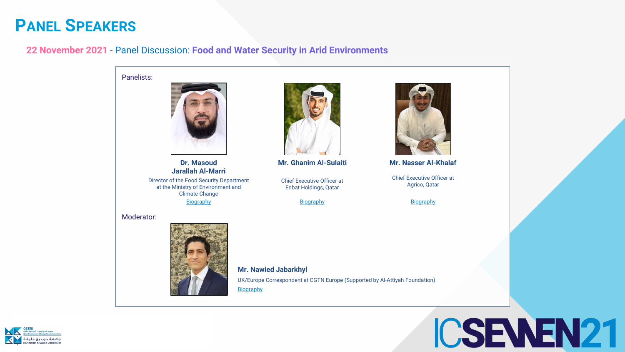



#### **22 November 2021** - Panel Discussion: **Food and Water Security in Arid Environments**

**[Biography](https://www.linkedin.com/in/nawied-jabarkhyl-08408458/?originalSubdomain=uk)** UK/Europe Correspondent at CGTN Europe (Supported by Al-Attiyah Foundation)

Panelists:



#### Moderator:



#### **Mr. Nawied Jabarkhyl**

**Dr. Masoud Jarallah Al-Marri**

Director of the Food Security Department at the Ministry of Environment and Climate Change

**[Biography](https://www.linkedin.com/in/masoud-almarri-6b171a13/?originalSubdomain=qa)** 

**Mr. Ghanim Al-Sulaiti**

Chief Executive Officer at Enbat Holdings, Qatar

**[Biography](https://www.enbatholdings.com/)** 



**Mr. Nasser Al-Khalaf**

Chief Executive Officer at Agrico, Qatar

**[Biography](https://www.linkedin.com/in/nasser-al-khalaf-9b52b8124/?originalSubdomain=qa)** 

# ICSEWEN21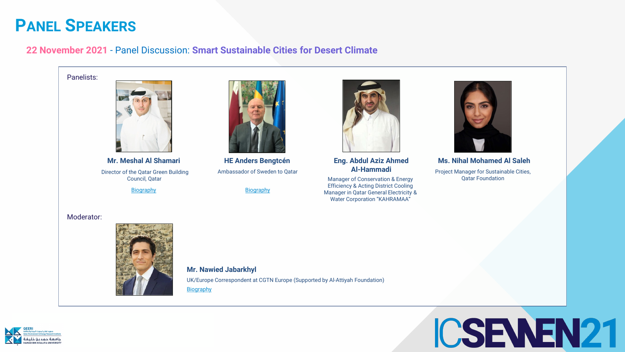

### **22 November 2021** - Panel Discussion: **Smart Sustainable Cities for Desert Climate**





**Ms. Nihal Mohamed Al Saleh**

Project Manager for Sustainable Cities, Qatar Foundation

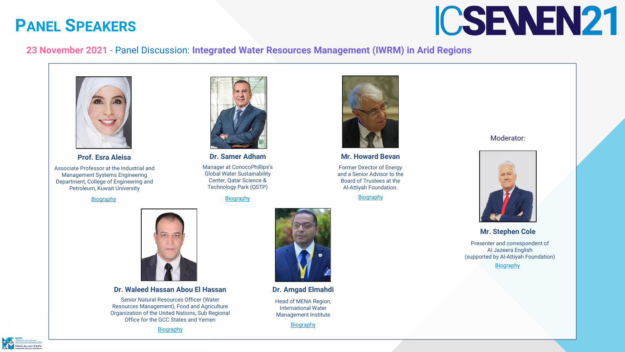#### **Mr. Howard Bevan**

Former Director of Energy and a Senior Advisor to the Board of Trustees at the Al-Attiyah Foundation.

**[Biography](https://www.linkedin.com/in/howard-bevan-15054b51/?originalSubdomain=uk)** 









**[Biography](https://www.stephen-cole.co.uk/about)** Presenter and correspondent of Al Jazeera English (supported by Al-Attiyah Foundation)

### **PANEL SPEAKERS**

#### **23 November 2021** - Panel Discussion: **Integrated Water Resources Management (IWRM) in Arid Regions**

#### Moderator:



#### **Mr. Stephen Cole**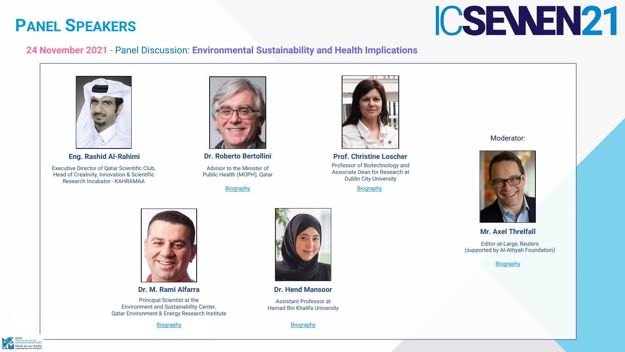#### **24 November 2021** - Panel Discussion: **Environmental Sustainability and Health Implications**









**Prof. Christine Loscher** Professor of Biotechnology and Associate Dean for Research at Dublin City University

**[Biography](https://www.sidra.org/about-us/governance-and-leadership/chief-executive-team/dr-barbro-friden)** 

#### Moderator:



**Mr. Axel Threlfall** 

Editor-at-Large, Reuters (supported by Al-Attiyah Foundation)

**[Biography](https://www.linkedin.com/in/axel-threlfall-10682813/?originalSubdomain=uk)**